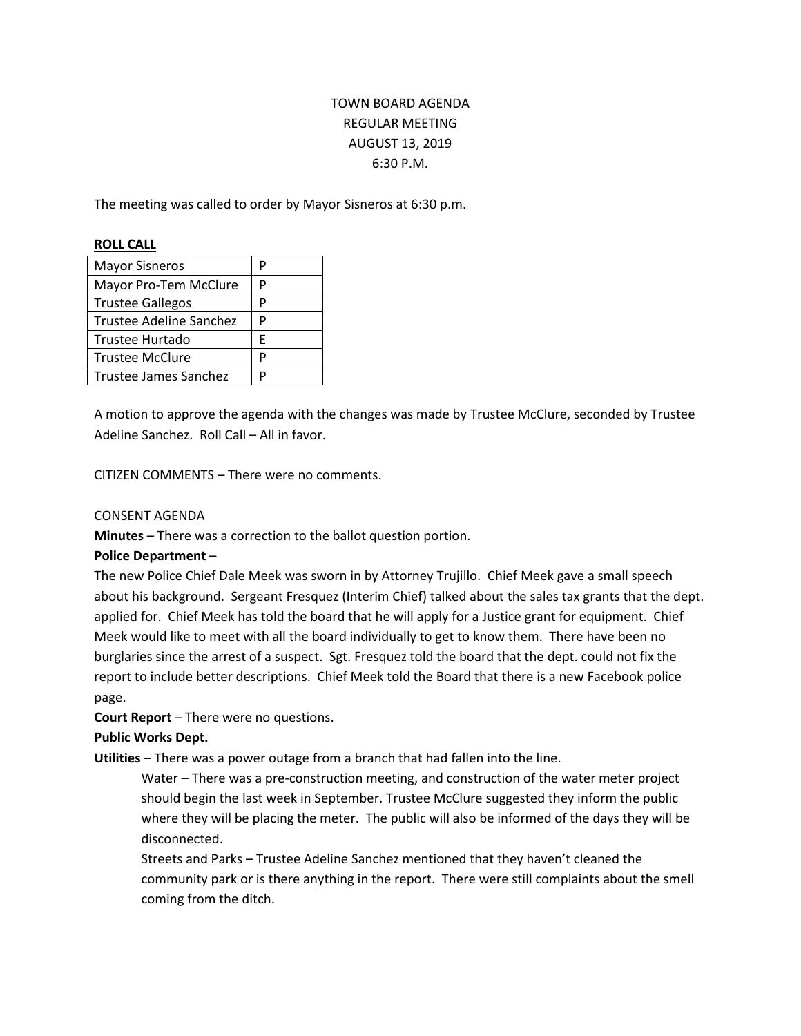# TOWN BOARD AGENDA REGULAR MEETING AUGUST 13, 2019 6:30 P.M.

The meeting was called to order by Mayor Sisneros at 6:30 p.m.

### **ROLL CALL**

| <b>Mayor Sisneros</b>          |   |
|--------------------------------|---|
| Mayor Pro-Tem McClure          | P |
| <b>Trustee Gallegos</b>        |   |
| <b>Trustee Adeline Sanchez</b> |   |
| Trustee Hurtado                | F |
| <b>Trustee McClure</b>         |   |
| <b>Trustee James Sanchez</b>   |   |

A motion to approve the agenda with the changes was made by Trustee McClure, seconded by Trustee Adeline Sanchez. Roll Call – All in favor.

CITIZEN COMMENTS – There were no comments.

## CONSENT AGENDA

**Minutes** – There was a correction to the ballot question portion.

# **Police Department** –

The new Police Chief Dale Meek was sworn in by Attorney Trujillo. Chief Meek gave a small speech about his background. Sergeant Fresquez (Interim Chief) talked about the sales tax grants that the dept. applied for. Chief Meek has told the board that he will apply for a Justice grant for equipment. Chief Meek would like to meet with all the board individually to get to know them. There have been no burglaries since the arrest of a suspect. Sgt. Fresquez told the board that the dept. could not fix the report to include better descriptions. Chief Meek told the Board that there is a new Facebook police page.

**Court Report** – There were no questions.

# **Public Works Dept.**

**Utilities** – There was a power outage from a branch that had fallen into the line.

Water – There was a pre-construction meeting, and construction of the water meter project should begin the last week in September. Trustee McClure suggested they inform the public where they will be placing the meter. The public will also be informed of the days they will be disconnected.

Streets and Parks – Trustee Adeline Sanchez mentioned that they haven't cleaned the community park or is there anything in the report. There were still complaints about the smell coming from the ditch.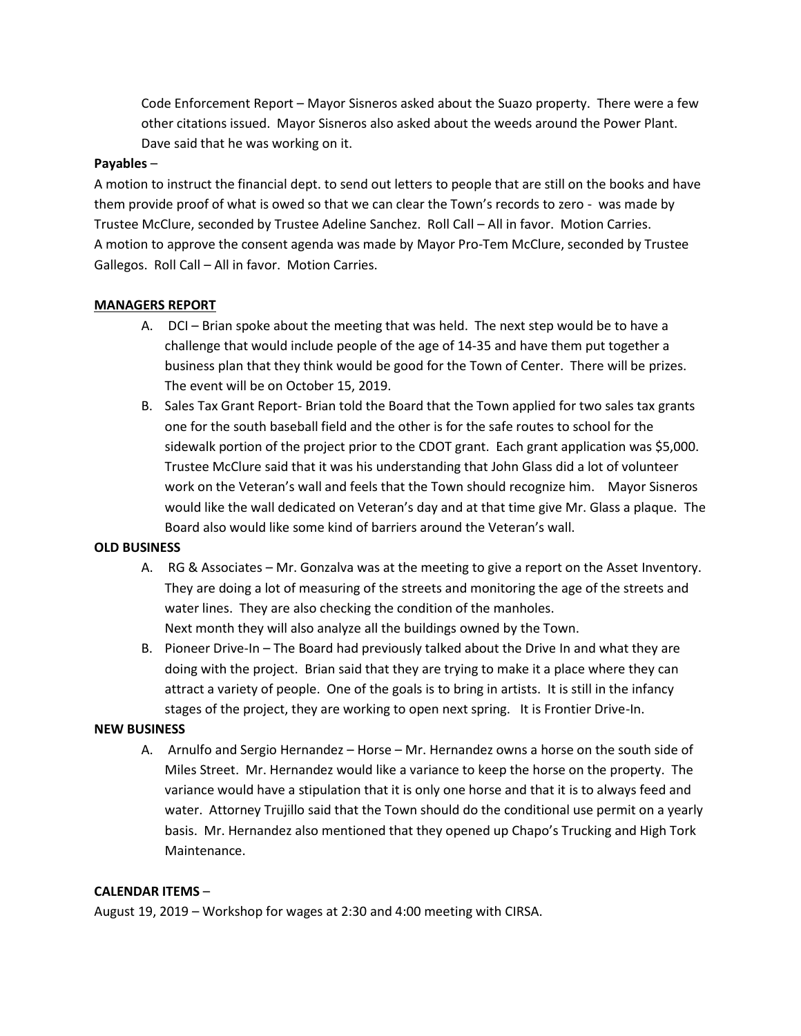Code Enforcement Report – Mayor Sisneros asked about the Suazo property. There were a few other citations issued. Mayor Sisneros also asked about the weeds around the Power Plant. Dave said that he was working on it.

# **Payables** –

A motion to instruct the financial dept. to send out letters to people that are still on the books and have them provide proof of what is owed so that we can clear the Town's records to zero - was made by Trustee McClure, seconded by Trustee Adeline Sanchez. Roll Call – All in favor. Motion Carries. A motion to approve the consent agenda was made by Mayor Pro-Tem McClure, seconded by Trustee Gallegos. Roll Call – All in favor. Motion Carries.

## **MANAGERS REPORT**

- A. DCI Brian spoke about the meeting that was held. The next step would be to have a challenge that would include people of the age of 14-35 and have them put together a business plan that they think would be good for the Town of Center. There will be prizes. The event will be on October 15, 2019.
- B. Sales Tax Grant Report- Brian told the Board that the Town applied for two sales tax grants one for the south baseball field and the other is for the safe routes to school for the sidewalk portion of the project prior to the CDOT grant. Each grant application was \$5,000. Trustee McClure said that it was his understanding that John Glass did a lot of volunteer work on the Veteran's wall and feels that the Town should recognize him. Mayor Sisneros would like the wall dedicated on Veteran's day and at that time give Mr. Glass a plaque. The Board also would like some kind of barriers around the Veteran's wall.

#### **OLD BUSINESS**

- A. RG & Associates Mr. Gonzalva was at the meeting to give a report on the Asset Inventory. They are doing a lot of measuring of the streets and monitoring the age of the streets and water lines. They are also checking the condition of the manholes. Next month they will also analyze all the buildings owned by the Town.
- B. Pioneer Drive-In The Board had previously talked about the Drive In and what they are doing with the project. Brian said that they are trying to make it a place where they can attract a variety of people. One of the goals is to bring in artists. It is still in the infancy stages of the project, they are working to open next spring. It is Frontier Drive-In.

#### **NEW BUSINESS**

A. Arnulfo and Sergio Hernandez – Horse – Mr. Hernandez owns a horse on the south side of Miles Street. Mr. Hernandez would like a variance to keep the horse on the property. The variance would have a stipulation that it is only one horse and that it is to always feed and water. Attorney Trujillo said that the Town should do the conditional use permit on a yearly basis. Mr. Hernandez also mentioned that they opened up Chapo's Trucking and High Tork Maintenance.

### **CALENDAR ITEMS** –

August 19, 2019 – Workshop for wages at 2:30 and 4:00 meeting with CIRSA.